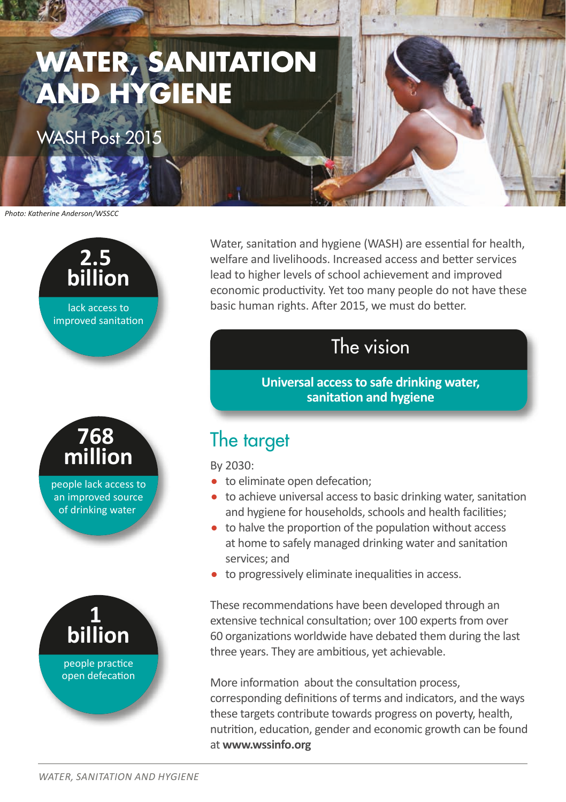

WASH Post 2015

*Photo: Katherine Anderson/WSSCC*



**768 million** people lack access to an improved source of drinking water



Water, sanitation and hygiene (WASH) are essential for health, welfare and livelihoods. Increased access and better services lead to higher levels of school achievement and improved economic productivity. Yet too many people do not have these basic human rights. After 2015, we must do better.

## The vision

**Universal access to safe drinking water, sanitation and hygiene**

## The target

By 2030:

- to eliminate open defecation;
- to achieve universal access to basic drinking water, sanitation and hygiene for households, schools and health facilities;
- to halve the proportion of the population without access at home to safely managed drinking water and sanitation services; and
- to progressively eliminate inequalities in access.

These recommendations have been developed through an extensive technical consultation; over 100 experts from over 60 organizations worldwide have debated them during the last three years. They are ambitious, yet achievable.

More information about the consultation process, corresponding definitions of terms and indicators, and the ways these targets contribute towards progress on poverty, health, nutrition, education, gender and economic growth can be found at **www.wssinfo.org**